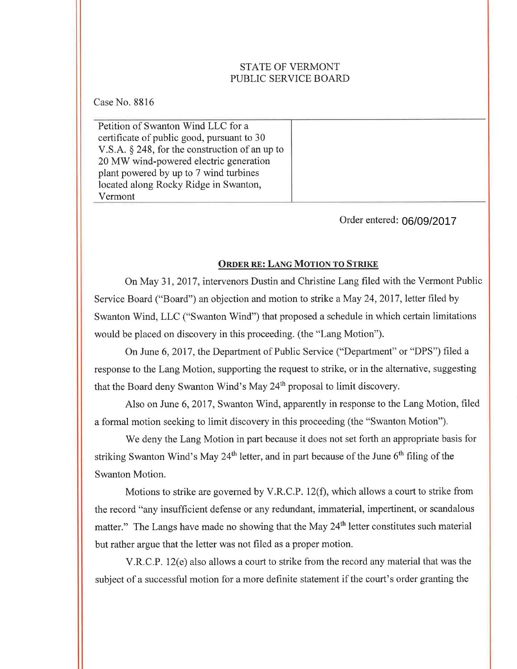# STATE OF VERMONT PUBLIC SERVICE BOARD

Case No. 8816

Petition of Swanton Wind LLC for a certificate of public good, pursuant to 30 V.S.A. \$ 248, for the construction of an up to 20 MV/ wind-powered electric generation plant powered by up to 7 wind turbines located along Rocky Ridge in Swanton, Vermont

Order entered 06/09/2017

# ORDER RE: LANG MOTION TO STRIKE

On May 31,2017, intervenors Dustin and Christine Lang filed with the Vermont Public Service Board ("Board") an objection and motion to strike a May 24, 2017, letter filed by Swanton Wind, LLC ("Swanton Wind") that proposed a schedule in which certain limitations would be placed on discovery in this proceeding. (the "Lang Motion").

On June 6, 2017, the Department of Public Service ("Department" or "DPS") filed a response to the Lang Motion, supporting the request to strike, or in the alternative, suggesting that the Board deny Swanton Wind's May 24<sup>th</sup> proposal to limit discovery.

Also on June 6, 2017, Swanton Wind, apparently in response to the Lang Motion, filed a formal motion seeking to limit discovery in this proceeding (the "Swanton Motion").

We deny the Lang Motion in part because it does not set forth an appropriate basis for striking Swanton Wind's May 24<sup>th</sup> letter, and in part because of the June  $6<sup>th</sup>$  filing of the Swanton Motion.

Motions to strike are governed by V.R.C.P. 12(f), which allows a court to strike from the record "any insufficient defense or any redundant, immaterial, impertinent, or scandalous matter." The Langs have made no showing that the May 24<sup>th</sup> letter constitutes such material but rather argue that the letter was not filed as a proper motion.

V.R.C.P. 12(e) also allows a court to strike from the record any material that was the subject of a successful motion for a more definite statement if the court's order granting the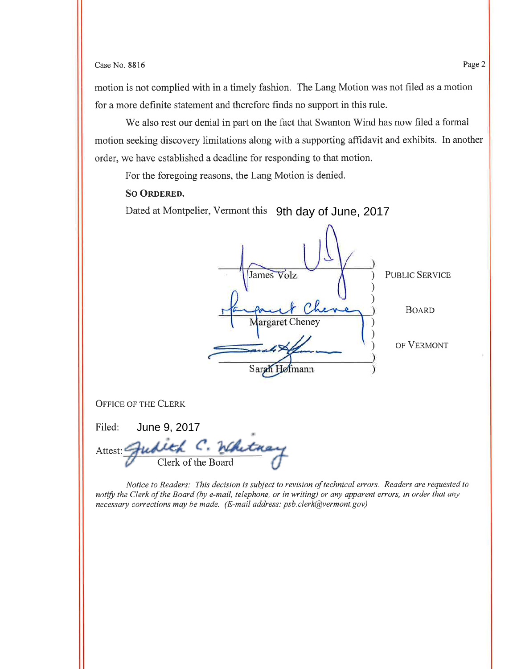### Case No. 8816 Page 2

motion is not complied with in a timely fashion. The Lang Motion was not filed as a motion for a more definite statement and therefore finds no support in this rule.

We also rest our denial in part on the fact that Swanton Wind has now filed a formal motion seeking discovery limitations along with a supporting affidavit and exhibits. In another order, we have established a deadline for responding to that motion.

For the foregoing reasons, the Lang Motion is denied.

## **SO ORDERED.**

Dated at Montpelier, Vermont this 9th day of June, 2017

| James Volz                   | <b>PUBLIC SERVICE</b> |
|------------------------------|-----------------------|
| auf Cheve<br>Margaret Cheney | <b>BOARD</b>          |
|                              | OF VERMONT            |
| Sar<br>dofmann               |                       |

OFFICE OF THE CLERK

| Filed:             | June 9, 2017 |  |  |
|--------------------|--------------|--|--|
| Attest:            |              |  |  |
| Clerk of the Board |              |  |  |

Notice to Readers: This decision is subject to revision of technical errors. Readers are requested to notify the Clerk of the Board (by e-mail, telephone, or in writing) or any apparent errors, in order that any necessary corrections may be møde. (E-mail address: psb.clerk@vermont.gov)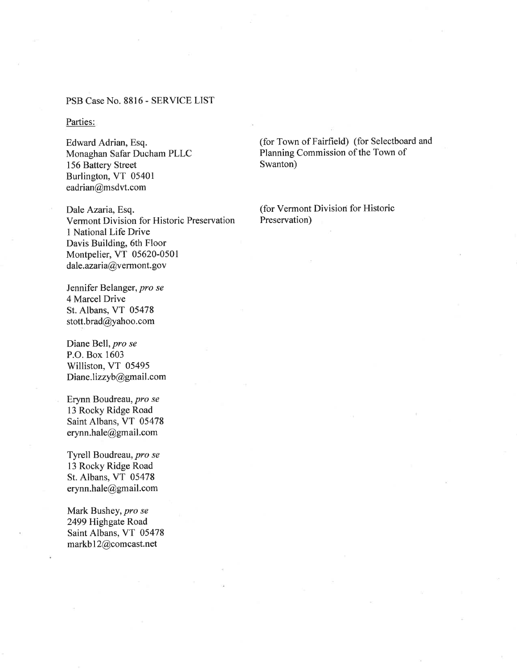### PSB Case No. 8816 - SERVICE LIST

### Parties:

Edward Adrian, Esq. Monaghan Safar Ducham PLLC 156 Battery Street Burlington, VT 05401 eadrian@msdvt.com

Dale Azaria, Esq. Vermont Division for Historic Preservation 1 National Life Drive Davis Building, 6th Floor Montpelier, VT 05620-0501  $daleaxaria@v$  erm ont. gov

Jennifer Belanger, pro se 4 Marcel Drive St. Albans, VT 05478 stott.brad@yahoo.com

Diane Bell, pro se P.O. Box 1603 Williston, VT 05495 Diane.lizzyb@gmail.com

Erynn Boudreau, pro se 13 Rocky Ridge Road Saint Albans, VT 05478 erynn.hale@gmail.com

Tyrell Boudreau, pro se 13 Rocky Ridge Road St. Albans, VT 05478 erynn.hale@gmail.com

Mark Bushey, pro se 2499 Highgate Road Saint Albans, VT 05478 markbl2@comcast.net

(for Town of Fairfield) (for Selectboard and Planning Commission of the Town of Swanton)

(for Vermont Division for Historic Preservation)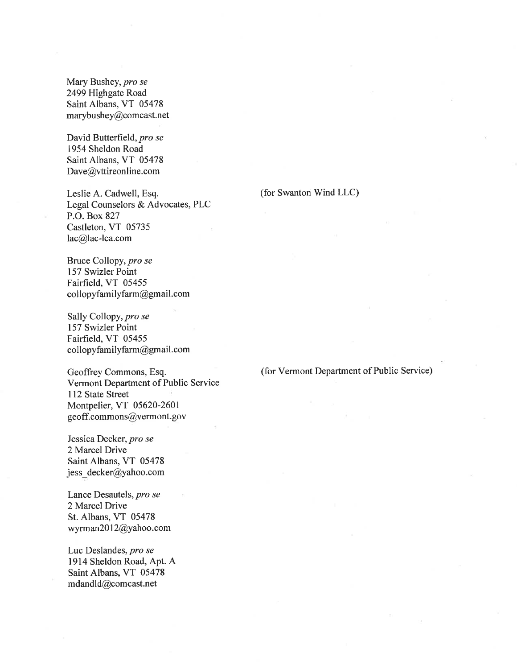Mary Bushey, pro se 2499 Highgate Road Saint Albans, VT 05478 marybushey@comcast.net

David Butterfield, pro se 1954 Sheldon Road Saint Albans, VT 05478 Dave@vttireonline.com

Leslie A. Cadwell, Esq. Legal Counselors & Advocates, PLC P.O. Box 827 Castleton, VT 05735 lac@lac-lca.com

Bruce Collopy, pro se 157 Swizler Point Fairfield, VT 05455  $\text{collop}$  yfam ily farm @ gmail.com

Sally Collopy, pro se 157 Swizler Point Fairfield, VT 05455 collopyfamilyfarm@gmail.com

Geoffrey Commons, Esq. Vermont Department of Public Service 112 State Street Montpelier, VT 05620-2601 geoff. commons@vermont. gov

Jessica Decker, pro se 2 Marcel Drive Saint Albans, VT 05478 jess\_decker@yahoo.com

Lance Desautels, pro se 2 Marcel Drive St. Albans, VT 05478 wyrman20l2@yahoo.com

Luc Deslandes, pro se 1914 Sheldon Road, Apt. A Saint Albans, VT 05478 mdandld@comcast.net

#### (for Swanton Wind LLC)

(for Vermont Department of Public Service)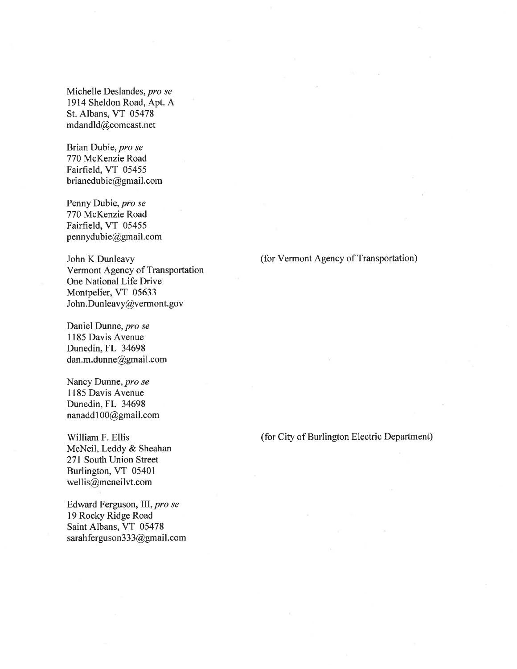Michelle Deslandes, pro se 1914 Sheldon Road, Apt. A St. Albans, VT 05478 mdandld@comcast.net

Brian Dubie, pro se 770 McKenzie Road Fairfield, VT 05455 brianedubie@gmail.com

Penny Dubie, pro se 770 McKenzie Road Fairfield, VT 05455 pennydubie@gmail.com

John K Dunleavy Vermont Agency of Transportation One National Life Drive Montpelier, VT 05633 John.Dunleavy@vermont.gov

Daniel Dunne, pro se I185 Davis Avenue Dunedin, FL 34698 dan.m.dunne@gmail.com

Nancy Dunne, pro se 1185 Davis Avenue Dunedin, FL 34698 nanadd1O0@gmail.com

William F. Ellis McNeil, Leddy & Sheahan 271 South Union Street Burlington, VT 05401 wellis@mcneilvt.com

Edward Ferguson, lIl, pro se 19 Rocky Ridge Road Saint Albans, VT 05478 sarah fergus on 333@gmail.com

## (for Vermont Agency of Transportation)

(for City of Burlington Electric Department)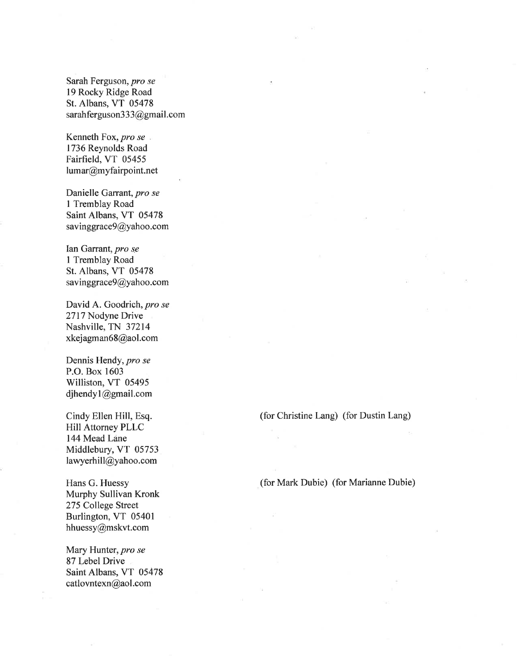Sarah Ferguson, pro se l9 Rocky Ridge Road St. Albans, VT 05478 sarahfergus on 333@gmail.com

Kenneth Fox, pro se 1736 Reynolds Road Fairfield, VT 05455 lumar@myfairpoint.net

Danielle Garrant, pro se I Tremblay Road Saint Albans, VT 05478 savinggrace9@yahoo.com

Ian Garrant, pro se I Tremblay Road St. Albans, VT 05478 savinggrace9@yahoo.com

David A. Goodrich, pro se 2717 Nodyne Drive Nashville, TN 37214 xkejagman6S@aol.com

Dennis Hendy, pro se P.O. Box 1603 Williston, VT 05495 djhendyl@gmail.com

Cindy Ellen Hill, Esq. Hill Attorney PLLC 144 Mead Lane Middlebury, VT 05753 lawyerhill@yahoo.com

Hans G. Huessy Murphy Sullivan Kronk 275 College Street Burlington, VT 05401 hhuessy@mskvt.com

Mary Hunter, pro se 87 Lebel Drive Saint Albans, VT 05478 catlovntexn@aol.com

(for Christine Lang) (for Dustin Lang)

(for Mark Dubie) (for Marianne Dubie)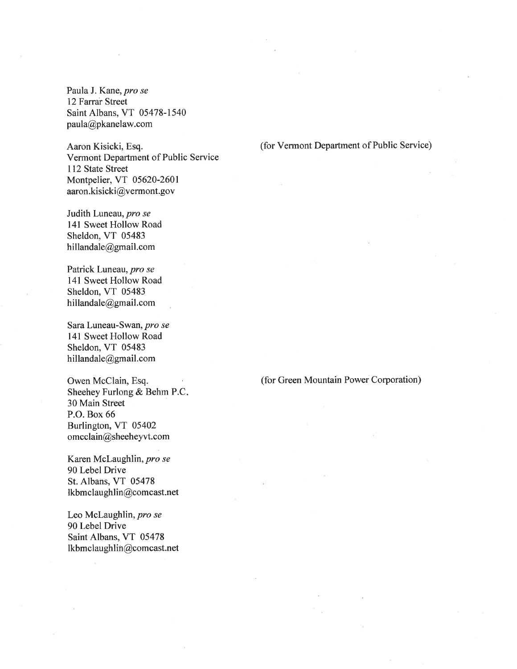Paula J. Kane, pro se l2Farrar Street Saint Albans, VT 05478-1540 paula@pkanelaw.com

Aaron Kisicki, Esq. Vermont Department of Public Service 112 State Street Montpelier, VT 05620-2601 aaron.kisicki@vermont.gov

Judith Luneau, pro se 141 Sweet Hollow Road Sheldon, VT 05483 hillandale@gmail.com

Patrick Luneau, pro se 141 Sweet Hollow Road Sheldon, VT 05483 hillandale@gmail.com

Sara Luneau-Swan, pro se 141 Sweet Hollow Road Sheldon, VT 05483 hillandale@gmail.com

Owen McClain, Esq. Sheehey Furlong & Behm P.C 30 Main Street P.O. Box 66 Burlington, VT 05402 omcclain@sheeheyvt.com

Karen Mclaughlin, pro se 90 Lebel Drive St. Albans, VT 05478 lkbmclaughlin@comcast.net

Leo Mclaughlin, pro se 90 Lebel Drive Saint Albans, VT 05478 lkbmclaughlin@comcast.net (for Vermont Department of Public Service)

(for Green Mountain Power Corporation)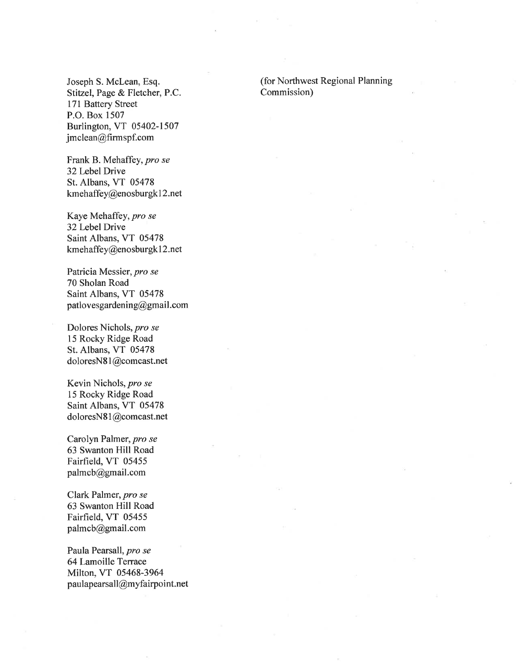Joseph S. Mclean, Esq. Stitzel, Page & Fletcher, P.C. 171 Battery Street P.O. Box 1507 Burlington, VT 05402-1507 jmclean@firmspf.com

Frank B. Mehaffey, pro se 32Lebel Drive St. Albans, VT 05478 kmehaffey@enosburgk I 2.net

Kaye Mehaffey, pro se 32Lebel Drive Saint Albans, VT 05478 kmehaffey@enosburgk I 2.net

Patricia Messier, pro se 70 Sholan Road Saint Albans, VT 05478 patlovesgardening@gmail.com

Dolores Nichols, pro se 15 Rocky Ridge Road St. Albans, VT 05478 doloresNS I @comcast.net

Kevin Nichols, pro se 15 Rocky Ridge Road Saint Albans, VT 05478 doloresNS I @comcast.net

Carolyn Palmer, pro se 63 Swanton Hill Road Fairfield, VT 05455 palmcb@gmail.com

Clark Palmer, pro se 63 Swanton Hill Road Fairfield, VT 05455 palmcb@gmail.com

Paula Pearsall, pro se 64 Lamoille Terrace Milton, VT 05468-3964 paulapearsall@myfairpoint.net (for Northwest Regional Planning Commission)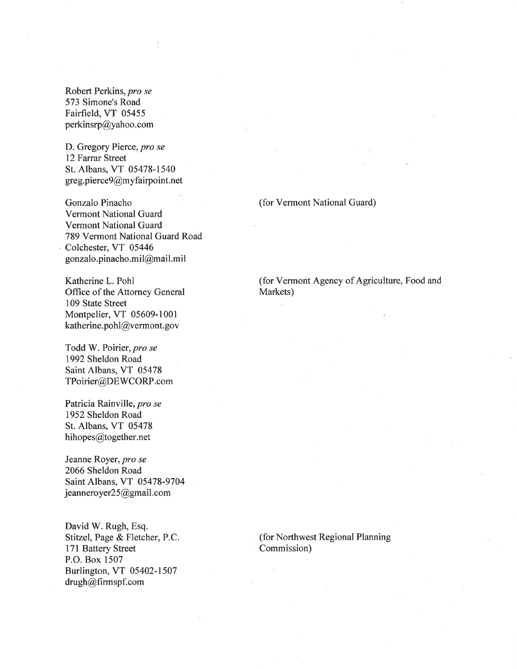Robert Perkins, pro se 573 Simone's Road Fairfield, VT 05455 perkinsrp@yahoo.com

D. Gregory Pierce, pro se 12 Farrar Street St. Albans, VT 05478-1540  $greg.piere 9@my fairpoint.net$ 

Gonzalo Pinacho Vermont National Guard Vermont National Guard 789 Vermont National Guard Road Colchester, VT 05446 gonzalo.pinacho.mil@mail.mil

Katherine L. Pohl Office of the Attorney General 109 State Street Montpelier, VT 05609-1 <sup>001</sup> katherine.pohl@vermont.gov

Todd W. Poirier, pro se 1992 Sheldon Road Saint Albans, VT 05478 TPoirier@DEWCORP.com

Patricia Rainville, pro se 1952 Sheldon Road St. Albans, VT 05478 hihopes@together.net

Jeanne Royer, pro se 2066 Sheldon Road Saint Albans, VT 05478-9704 jeanneroyer25@gmail.com

David W. Rugh, Esq. Stitzel, Page & Fletcher, P.C. l7l Battery Street P.O. Box 1507 Burlington, VT 05402-1507 drugh@firmspf.com

(for Vermont National Guard)

(for Vermont Agency of Agriculture, Food and Markets)

(for Northwest Regional Planning Commission)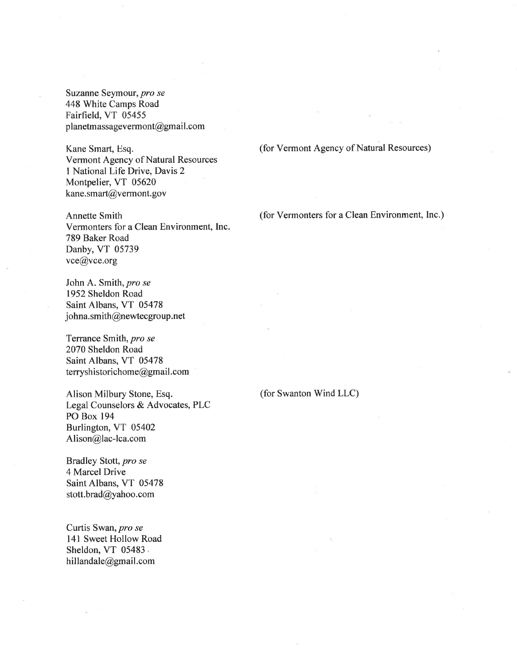Suzanne Seymour, pro se 448 White Camps Road Fairfield, VT 05455 planetmassagevermont@gmail.com

Kane Smart, Esq. Vermont Agency of Natural Resources I National Life Drive, Davis 2 Montpelier, VT 05620 kane.smart@vermont.gov

Annette Smith Vermonters for a Clean Environment, Inc. 789 Baker Road Danby, VT 05739 vce@vce.org

John A. Smith, pro se 1952 Sheldon Road Saint Albans, VT 05478 johna.smith@newtecgroup.net

Terrance Smith, pro se 2070 Sheldon Road Saint Albans, VT 05478 terryshistorichome@gmail.com

Alison Milbury Stone, Esq. Legal Counselors & Advocates, PLC PO Box 194 Burlington, VT 05402 Alison@lac-lca.com

Bradley Stott, pro se 4 Marcel Drive Saint Albans, VT 05478 stott.brad@yahoo.com

Curtis Swan, pro se 141 Sweet Hollow Road Sheldon, VT 05483. hillandale@gmail.com

(for Vermont Agency of Natural Resources)

(for Vermonters for a Clean Environment, Inc.)

(for Swanton Wind LLC)